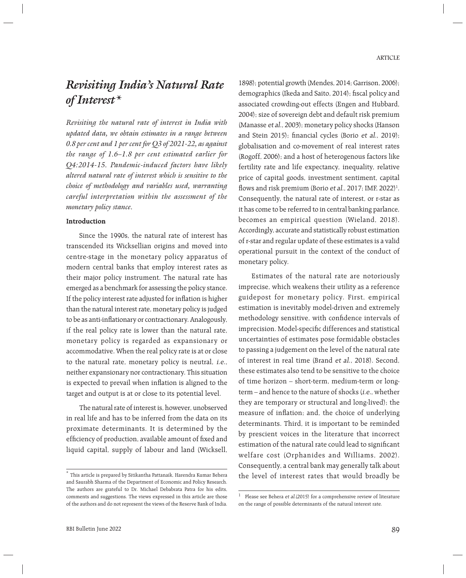# *Revisiting India's Natural Rate of Interest\**

*Revisiting the natural rate of interest in India with updated data, we obtain estimates in a range between 0.8 per cent and 1 per cent for Q3 of 2021-22, as against the range of 1.6–1.8 per cent estimated earlier for Q4:2014-15. Pandemic-induced factors have likely altered natural rate of interest which is sensitive to the choice of methodology and variables used, warranting careful interpretation within the assessment of the monetary policy stance.* 

#### **Introduction**

 Since the 1990s, the natural rate of interest has transcended its Wicksellian origins and moved into centre-stage in the monetary policy apparatus of modern central banks that employ interest rates as their major policy instrument. The natural rate has emerged as a benchmark for assessing the policy stance. If the policy interest rate adjusted for inflation is higher than the natural interest rate, monetary policy is judged to be as anti-inflationary or contractionary. Analogously, if the real policy rate is lower than the natural rate, monetary policy is regarded as expansionary or accommodative. When the real policy rate is at or close to the natural rate, monetary policy is neutral, i.e., neither expansionary nor contractionary. This situation is expected to prevail when inflation is aligned to the target and output is at or close to its potential level.

 The natural rate of interest is, however, unobserved in real life and has to be inferred from the data on its proximate determinants. It is determined by the efficiency of production, available amount of fixed and liquid capital, supply of labour and land (Wicksell,

1898); potential growth (Mendes, 2014; Garrison, 2006); demographics (Ikeda and Saito, 2014); fiscal policy and associated crowding-out effects (Engen and Hubbard, 2004); size of sovereign debt and default risk premium (Manasse et al., 2003); monetary policy shocks (Hanson and Stein 2015); financial cycles (Borio et al., 2019); globalisation and co-movement of real interest rates (Rogoff, 2006); and a host of heterogenous factors like fertility rate and life expectancy, inequality, relative price of capital goods, investment sentiment, capital flows and risk premium (Borio et al., 2017; IMF, 2022)<sup>1</sup>. Consequently, the natural rate of interest, or r-star as it has come to be referred to in central banking parlance, becomes an empirical question (Wieland, 2018). Accordingly, accurate and statistically robust estimation of r-star and regular update of these estimates is a valid operational pursuit in the context of the conduct of monetary policy.

 Estimates of the natural rate are notoriously imprecise, which weakens their utility as a reference guidepost for monetary policy. First, empirical estimation is inevitably model-driven and extremely methodology sensitive, with confidence intervals of imprecision. Model-specific differences and statistical uncertainties of estimates pose formidable obstacles to passing a judgement on the level of the natural rate of interest in real time (Brand et al., 2018). Second, these estimates also tend to be sensitive to the choice of time horizon – short-term, medium-term or longterm – and hence to the nature of shocks (i.e., whether they are temporary or structural and long-lived); the measure of inflation; and, the choice of underlying determinants. Third, it is important to be reminded by prescient voices in the literature that incorrect estimation of the natural rate could lead to significant welfare cost (Orphanides and Williams, 2002). Consequently, a central bank may generally talk about the level of interest rates that would broadly be

<sup>\*</sup> This article is prepared by Sitikantha Pattanaik, Harendra Kumar Behera and Saurabh Sharma of the Department of Economic and Policy Research. The authors are grateful to Dr. Michael Debabrata Patra for his edits, comments and suggestions. The views expressed in this article are those of the authors and do not represent the views of the Reserve Bank of India.

<sup>&</sup>lt;sup>1</sup> Please see Behera et al.(2015) for a comprehensive review of literature on the range of possible determinants of the natural interest rate.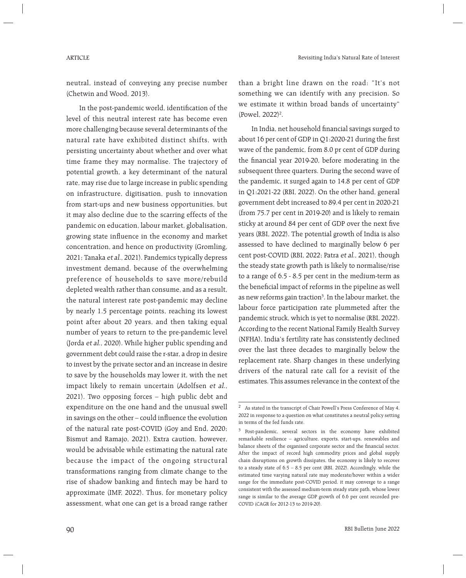neutral, instead of conveying any precise number (Chetwin and Wood, 2013).

In the post-pandemic world, identification of the level of this neutral interest rate has become even more challenging because several determinants of the natural rate have exhibited distinct shifts, with persisting uncertainty about whether and over what time frame they may normalise. The trajectory of potential growth, a key determinant of the natural rate, may rise due to large increase in public spending on infrastructure, digitisation, push to innovation from start-ups and new business opportunities, but it may also decline due to the scarring effects of the pandemic on education, labour market, globalisation, growing state influence in the economy and market concentration, and hence on productivity (Gromling, 2021; Tanaka et al., 2021). Pandemics typically depress investment demand, because of the overwhelming preference of households to save more/rebuild depleted wealth rather than consume, and as a result, the natural interest rate post-pandemic may decline by nearly 1.5 percentage points, reaching its lowest point after about 20 years, and then taking equal number of years to return to the pre-pandemic level (Jorda et al., 2020). While higher public spending and government debt could raise the r-star, a drop in desire to invest by the private sector and an increase in desire to save by the households may lower it, with the net impact likely to remain uncertain (Adolfsen et al., 2021). Two opposing forces – high public debt and expenditure on the one hand and the unusual swell in savings on the other – could influence the evolution of the natural rate post-COVID (Goy and End, 2020; Bismut and Ramajo, 2021). Extra caution, however, would be advisable while estimating the natural rate because the impact of the ongoing structural transformations ranging from climate change to the rise of shadow banking and fintech may be hard to approximate (IMF, 2022). Thus, for monetary policy assessment, what one can get is a broad range rather

than a bright line drawn on the road: "It's not something we can identify with any precision. So we estimate it within broad bands of uncertainty"  $(Powel, 2022)^2$ .

In India, net household financial savings surged to about 16 per cent of GDP in  $Q1:2020-21$  during the first wave of the pandemic, from 8.0 pr cent of GDP during the financial year 2019-20, before moderating in the subsequent three quarters. During the second wave of the pandemic, it surged again to 14.8 per cent of GDP in Q1:2021-22 (RBI, 2022). On the other hand, general government debt increased to 89.4 per cent in 2020-21 (from 75.7 per cent in 2019-20) and is likely to remain sticky at around 84 per cent of GDP over the next five years (RBI, 2022). The potential growth of India is also assessed to have declined to marginally below 6 per cent post-COVID (RBI, 2022; Patra et al., 2021), though the steady state growth path is likely to normalise/rise to a range of 6.5 - 8.5 per cent in the medium-term as the beneficial impact of reforms in the pipeline as well as new reforms gain traction<sup>3</sup>. In the labour market, the labour force participation rate plummeted after the pandemic struck, which is yet to normalise (RBI, 2022). According to the recent National Family Health Survey (NFHA), India's fertility rate has consistently declined over the last three decades to marginally below the replacement rate. Sharp changes in these underlying drivers of the natural rate call for a revisit of the estimates. This assumes relevance in the context of the

<sup>2</sup> As stated in the transcript of Chair Powell's Press Conference of May 4, 2022 in response to a question on what constitutes a neutral policy setting in terms of the fed funds rate.

<sup>&</sup>lt;sup>3</sup> Post-pandemic, several sectors in the economy have exhibited remarkable resilience – agriculture, exports, start-ups, renewables and balance sheets of the organised corporate sector and the financial sector. After the impact of record high commodity prices and global supply chain disruptions on growth dissipates, the economy is likely to recover to a steady state of 6.5 – 8.5 per cent (RBI, 2022). Accordingly, while the estimated time varying natural rate may moderate/hover within a wider range for the immediate post-COVID period, it may converge to a range consistent with the assessed medium-term steady state path, whose lower range is similar to the average GDP growth of 6.6 per cent recorded pre-COVID (CAGR for 2012-13 to 2019-20).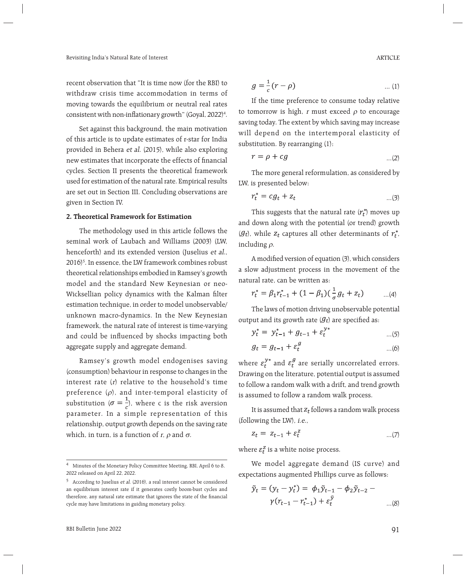recent observation that "It is time now (for the RBI) to withdraw crisis time accommodation in terms of moving towards the equilibrium or neutral real rates consistent with non-inflationary growth" (Goyal, 2022) $^4$ .

 Set against this background, the main motivation of this article is to update estimates of r-star for India provided in Behera et al. (2015), while also exploring new estimates that incorporate the effects of financial cycles. Section II presents the theoretical framework used for estimation of the natural rate. Empirical results are set out in Section III. Concluding observations are given in Section IV.

### **2. Theoretical Framework for Estimation**

 The methodology used in this article follows the seminal work of Laubach and Williams (2003) (LW, henceforth) and its extended version (Juselius et al., 2016)5 . In essence, the LW framework combines robust theoretical relationships embodied in Ramsey's growth model and the standard New Keynesian or neo-Wicksellian policy dynamics with the Kalman filter estimation technique, in order to model unobservable/ unknown macro-dynamics. In the New Keynesian framework, the natural rate of interest is time-varying and could be influenced by shocks impacting both aggregate supply and aggregate demand.

 Ramsey's growth model endogenises saving (consumption) behaviour in response to changes in the interest rate  $(r)$  relative to the household's time preference  $(\rho)$ , and inter-temporal elasticity of substitution ( $\sigma = \frac{1}{6}$ ), where c is the risk aversion parameter. In a simple representation of this relationship, output growth depends on the saving rate which, in turn, is a function of r,  $\rho$  and  $\sigma$ .

$$
g = \frac{1}{c}(r - \rho) \tag{1}
$$

 If the time preference to consume today relative to tomorrow is high, r must exceed  $\rho$  to encourage saving today. The extent by which saving may increase will depend on the intertemporal elasticity of substitution. By rearranging (1):

$$
r = \rho + cg \tag{2}
$$

 The more general reformulation, as considered by LW, is presented below:

$$
r_t^* = cg_t + z_t \tag{3}
$$

This suggests that the natural rate  $(r_t^*)$  moves up and down along with the potential (or trend) growth  $(g_t)$ , while  $z_t$  captures all other determinants of  $r_t^*$ , including  $\rho$ .

A modified version of equation (3), which considers a slow adjustment process in the movement of the natural rate, can be written as:

$$
r_t^* = \beta_1 r_{t-1}^* + (1 - \beta_1) (\frac{1}{\sigma} g_t + z_t) \qquad ...(4)
$$

 The laws of motion driving unobservable potential output and its growth rate  $(f_t)$  are specified as:

$$
y_t^* = y_{t-1}^* + g_{t-1} + \varepsilon_t^{y*}
$$
 ...(5)

$$
g_t = g_{t-1} + \varepsilon_t^g \tag{6}
$$

where  $\varepsilon_t^{y*}$  and  $\varepsilon_t^g$  are serially uncorrelated errors. Drawing on the literature, potential output is assumed to follow a random walk with a drift, and trend growth is assumed to follow a random walk process.

It is assumed that  $z_t$  follows a random walk process (following the LW), i.e.,

$$
z_t = z_{t-1} + \varepsilon_t^z \tag{7}
$$

where  $\varepsilon_t^z$  is a white noise process.

 We model aggregate demand (IS curve) and expectations augmented Phillips curve as follows:

$$
\tilde{y}_t = (y_t - y_t^*) = \phi_1 \tilde{y}_{t-1} - \phi_2 \tilde{y}_{t-2} -
$$
  

$$
\gamma (r_{t-1} - r_{t-1}^*) + \varepsilon_t^{\tilde{y}} \qquad \dots (8)
$$

<sup>4</sup> Minutes of the Monetary Policy Committee Meeting, RBI, April 6 to 8, 2022 released on April 22, 2022.

<sup>5</sup> According to Juselius et al. (2016), a real interest cannot be considered an equilibrium interest rate if it generates costly boom-bust cycles and therefore, any natural rate estimate that ignores the state of the financial cycle may have limitations in guiding monetary policy.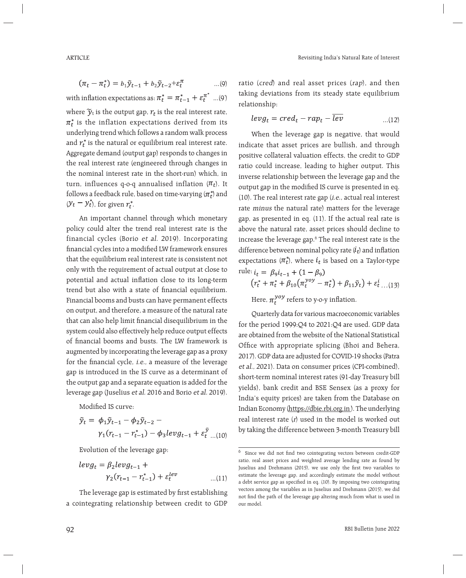$$
(\pi_t - \pi_t^*) = b_1 \tilde{y}_{t-1} + b_2 \tilde{y}_{t-2} + \varepsilon_t^{\pi} \qquad \dots (9)
$$

with inflation expectations as:  $\pi^*_t = \pi^*_{t-1} + \varepsilon_t^\mu$   $\ldots$  (9') where  $\widetilde{\mathcal{Y}}_t$  is the output gap,  $r_t$  is the real interest rate,  $\pi_t^*$  is the inflation expectations derived from its underlying trend which follows a random walk process and  $r_t^*$  is the natural or equilibrium real interest rate. Aggregate demand (output gap) responds to changes in the real interest rate (engineered through changes in the nominal interest rate in the short-run) which, in turn, influences q-o-q annualised inflation  $(\pi_t)$ . It follows a feedback rule, based on time-varying  $(\pi_t^*)$  and  $(y_t - y_t^*)$ , for given  $r_t^*$ .

 An important channel through which monetary policy could alter the trend real interest rate is the financial cycles (Borio et al. 2019). Incorporating financial cycles into a modified LW framework ensures that the equilibrium real interest rate is consistent not only with the requirement of actual output at close to potential and actual inflation close to its long-term trend but also with a state of financial equilibrium. Financial booms and busts can have permanent effects on output, and therefore, a measure of the natural rate that can also help limit financial disequilibrium in the system could also effectively help reduce output effects of financial booms and busts. The LW framework is augmented by incorporating the leverage gap as a proxy for the financial cycle, i.e., a measure of the leverage gap is introduced in the IS curve as a determinant of the output gap and a separate equation is added for the leverage gap (Juselius et al. 2016 and Borio et al. 2019).

Modified IS curve:

$$
\tilde{y}_t = \phi_1 \tilde{y}_{t-1} - \phi_2 \tilde{y}_{t-2} -
$$
  

$$
\gamma_1 (r_{t-1} - r_{t-1}^*) - \phi_3 levg_{t-1} + \varepsilon_t^{\tilde{y}} \dots (10)
$$

Evolution of the leverage gap:

$$
levg_t = \beta_2 levg_{t-1} + \gamma_2(r_{t-1} - r_{t-1}^*) + \varepsilon_t^{lev}
$$
...(11)

The leverage gap is estimated by first establishing a cointegrating relationship between credit to GDP

ratio (cred) and real asset prices (rap), and then taking deviations from its steady state equilibrium relationship:

$$
levg_t = cred_t - rap_t - \overline{lev} \qquad \qquad \dots (12)
$$

 When the leverage gap is negative, that would indicate that asset prices are bullish, and through positive collateral valuation effects, the credit to GDP ratio could increase, leading to higher output. This inverse relationship between the leverage gap and the output gap in the modified IS curve is presented in eq. (10). The real interest rate gap (i.e., actual real interest rate minus the natural rate) matters for the leverage gap, as presented in eq. (11). If the actual real rate is above the natural rate, asset prices should decline to increase the leverage gap.6 The real interest rate is the difference between nominal policy rate  $(i_t)$  and inflation expectations  $(\pi_t^*)$ , where  $i_t$  is based on a Taylor-type rule:  $i_t = \beta_9 i_{t-1} + (1 - \beta_9)$ 

$$
(r_t^* + \pi_t^* + \beta_{10}(\pi_t^{yoy} - \pi_t^*) + \beta_{11}\tilde{y}_t) + \varepsilon_t^i \dots (13)
$$
  
Here,  $\pi_t^{yoy}$  refers to y-o-y inflation.

 Quarterly data for various macroeconomic variables for the period 1999:Q4 to 2021:Q4 are used. GDP data are obtained from the website of the National Statistical Office with appropriate splicing (Bhoi and Behera, 2017). GDP data are adjusted for COVID-19 shocks (Patra et al., 2021). Data on consumer prices (CPI-combined), short-term nominal interest rates (91-day Treasury bill yields), bank credit and BSE Sensex (as a proxy for India's equity prices) are taken from the Database on Indian Economy (https://dbie.rbi.org.in ). The underlying real interest rate (r) used in the model is worked out by taking the difference between 3-month Treasury bill

 $6$  Since we did not find two cointegrating vectors between credit-GDP ratio, real asset prices and weighted average lending rate as found by Juselius and Drehmann (2015), we use only the first two variables to estimate the leverage gap, and accordingly estimate the model without a debt service gap as specified in eq. (10). By imposing two cointegrating vectors among the variables as in Juselius and Drehmann (2015), we did not find the path of the leverage gap altering much from what is used in our model.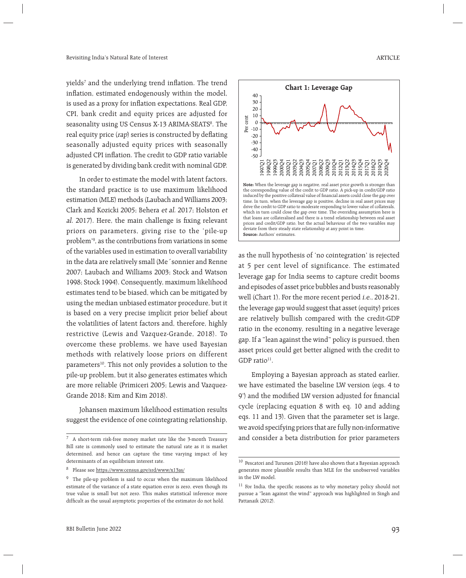yields<sup>7</sup> and the underlying trend inflation. The trend inflation, estimated endogenously within the model, is used as a proxy for inflation expectations. Real GDP, CPI, bank credit and equity prices are adjusted for seasonality using US Census X-13 ARIMA-SEATS<sup>8</sup>. The real equity price (rap) series is constructed by deflating seasonally adjusted equity prices with seasonally adjusted CPI inflation. The credit to GDP ratio variable is generated by dividing bank credit with nominal GDP.

 In order to estimate the model with latent factors, the standard practice is to use maximum likelihood estimation (MLE) methods (Laubach and Williams 2003; Clark and Kozicki 2005; Behera et al. 2017; Holston et al. 2017). Here, the main challenge is fixing relevant priors on parameters, giving rise to the 'pile-up problem'9 , as the contributions from variations in some of the variables used in estimation to overall variability in the data are relatively small (Me´sonnier and Renne 2007; Laubach and Williams 2003; Stock and Watson 1998; Stock 1994). Consequently, maximum likelihood estimates tend to be biased, which can be mitigated by using the median unbiased estimator procedure, but it is based on a very precise implicit prior belief about the volatilities of latent factors and, therefore, highly restrictive (Lewis and Vazquez-Grande, 2018). To overcome these problems, we have used Bayesian methods with relatively loose priors on different parameters<sup>10</sup>. This not only provides a solution to the pile-up problem, but it also generates estimates which are more reliable (Primiceri 2005; Lewis and Vazquez-Grande 2018; Kim and Kim 2018).

 Johansen maximum likelihood estimation results suggest the evidence of one cointegrating relationship,



as the null hypothesis of 'no cointegration' is rejected at 5 per cent level of significance. The estimated leverage gap for India seems to capture credit booms and episodes of asset price bubbles and busts reasonably well (Chart 1). For the more recent period i.e., 2018-21, the leverage gap would suggest that asset (equity) prices are relatively bullish compared with the credit-GDP ratio in the economy, resulting in a negative leverage gap. If a "lean against the wind" policy is pursued, then asset prices could get better aligned with the credit to GDP ratio $11$ .

 Employing a Bayesian approach as stated earlier, we have estimated the baseline LW version (eqs. 4 to 9') and the modified LW version adjusted for financial cycle (replacing equation 8 with eq. 10 and adding eqs. 11 and 13). Given that the parameter set is large, we avoid specifying priors that are fully non-informative  $\frac{7}{7}$  A short-term risk-free money market rate like the 3-month Treasury and consider a beta distribution for prior parameters

Bill rate is commonly used to estimate the natural rate as it is market determined, and hence can capture the time varying impact of key determinants of an equilibrium interest rate

<sup>8</sup> Please see https://www.census.gov/srd/www/x13as/

<sup>&</sup>lt;sup>9</sup> The pile-up problem is said to occur when the maximum likelihood estimate of the variance of a state equation error is zero, even though its true value is small but not zero. This makes statistical inference more difficult as the usual asymptotic properties of the estimator do not hold.

<sup>10</sup> Pescatori and Turunen (2016) have also shown that a Bayesian approach generates more plausible results than MLE for the unobserved variables in the LW model.

 $11$  For India, the specific reasons as to why monetary policy should not pursue a "lean against the wind" approach was highlighted in Singh and Pattanaik (2012).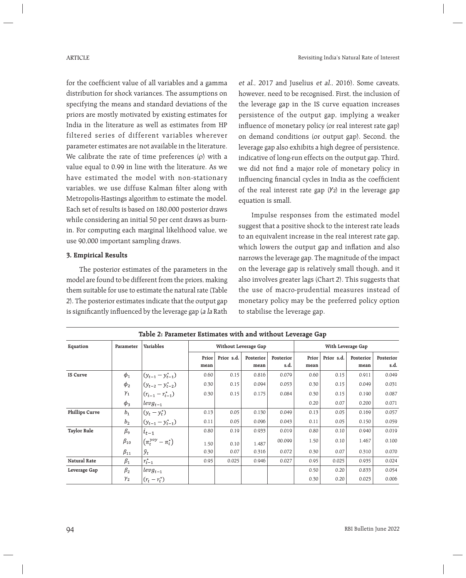for the coefficient value of all variables and a gamma distribution for shock variances. The assumptions on specifying the means and standard deviations of the priors are mostly motivated by existing estimates for India in the literature as well as estimates from HP filtered series of different variables wherever parameter estimates are not available in the literature. We calibrate the rate of time preferences  $(\rho)$  with a value equal to 0.99 in line with the literature. As we have estimated the model with non-stationary variables, we use diffuse Kalman filter along with Metropolis-Hastings algorithm to estimate the model. Each set of results is based on 180,000 posterior draws while considering an initial 50 per cent draws as burnin. For computing each marginal likelihood value, we use 90,000 important sampling draws.

# **3. Empirical Results**

 The posterior estimates of the parameters in the model are found to be different from the priors, making them suitable for use to estimate the natural rate (Table 2). The posterior estimates indicate that the output gap is significantly influenced by the leverage gap (a la Rath et al., 2017 and Juselius et al., 2016). Some caveats, however, need to be recognised. First, the inclusion of the leverage gap in the IS curve equation increases persistence of the output gap, implying a weaker influence of monetary policy (or real interest rate gap) on demand conditions (or output gap). Second, the leverage gap also exhibits a high degree of persistence, indicative of long-run effects on the output gap. Third, we did not find a major role of monetary policy in influencing financial cycles in India as the coefficient of the real interest rate gap  $(V_2)$  in the leverage gap equation is small.

 Impulse responses from the estimated model suggest that a positive shock to the interest rate leads to an equivalent increase in the real interest rate gap, which lowers the output gap and inflation and also narrows the leverage gap. The magnitude of the impact on the leverage gap is relatively small though, and it also involves greater lags (Chart 2). This suggests that the use of macro-prudential measures instead of monetary policy may be the preferred policy option to stabilise the leverage gap.

| Table 2: Parameter Estimates with and without Leverage Gap |                |                                    |                      |            |           |           |                   |            |           |           |
|------------------------------------------------------------|----------------|------------------------------------|----------------------|------------|-----------|-----------|-------------------|------------|-----------|-----------|
| Equation                                                   | Parameter      | Variables                          | Without Leverage Gap |            |           |           | With Leverage Gap |            |           |           |
|                                                            |                |                                    | Prior                | Prior s.d. | Posterior | Posterior | Prior             | Prior s.d. | Posterior | Posterior |
|                                                            |                |                                    | mean                 |            | mean      | s.d.      | mean              |            | mean      | s.d.      |
| <b>IS Curve</b>                                            | $\phi_1$       | $(y_{t-1} - y_{t-1}^*)$            | 0.60                 | 0.15       | 0.816     | 0.079     | 0.60              | 0.15       | 0.911     | 0.049     |
|                                                            | $\phi_2$       | $(y_{t-2} - y_{t-2}^*)$            | 0.30                 | 0.15       | 0.094     | 0.053     | 0.30              | 0.15       | 0.049     | 0.031     |
|                                                            | $\gamma_1$     | $(r_{t-1} - r_{t-1}^*)$            | 0.30                 | 0.15       | 0.175     | 0.084     | 0.30              | 0.15       | 0.190     | 0.087     |
|                                                            | $\phi_3$       | $levg_{t-1}$                       |                      |            |           |           | 0.20              | 0.07       | 0.200     | 0.071     |
| <b>Phillips Curve</b>                                      | $b_1$          | $(y_t - y_t^*)$                    | 0.13                 | 0.05       | 0.130     | 0.049     | 0.13              | 0.05       | 0.169     | 0.057     |
|                                                            | b <sub>2</sub> | $(y_{t-1} - y_{t-1}^*)$            | 0.11                 | 0.05       | 0.096     | 0.043     | 0.11              | 0.05       | 0.150     | 0.059     |
| <b>Taylor Rule</b>                                         | $\beta_{9}$    | $i_{t-1}$                          | 0.80                 | 0.19       | 0.933     | 0.019     | 0.80              | 0.10       | 0.940     | 0.019     |
|                                                            | $\beta_{10}$   | $\left(\pi_t^{yoy}-\pi_t^*\right)$ | 1.50                 | 0.10       | 1.487     | 00.099    | 1.50              | 0.10       | 1.467     | 0.100     |
|                                                            | $\beta_{11}$   | $\tilde{y}_t$                      | 0.30                 | 0.07       | 0.316     | 0.072     | 0.30              | 0.07       | 0.310     | 0.070     |
| Natural Rate                                               | $\beta_1$      | $r_{t-1}^*$                        | 0.95                 | 0.025      | 0.946     | 0.027     | 0.95              | 0.025      | 0.935     | 0.024     |
| Leverage Gap                                               | $\beta_2$      | $levg_{t-1}$                       |                      |            |           |           | 0.50              | 0.20       | 0.833     | 0.054     |
|                                                            | $\gamma_2$     | $(r_t - r_t^*)$                    |                      |            |           |           | 0.30              | 0.20       | 0.023     | 0.006     |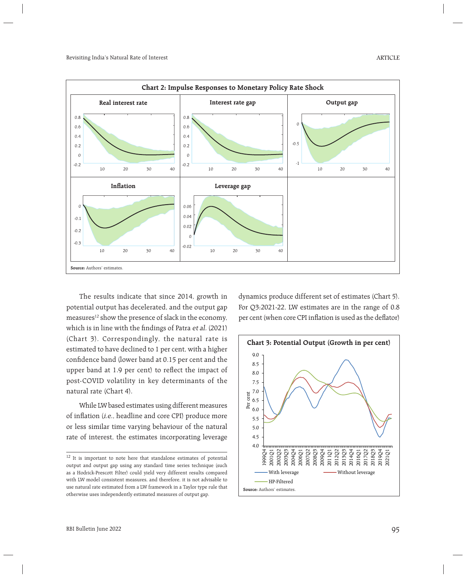

 The results indicate that since 2014, growth in potential output has decelerated, and the output gap measures<sup>12</sup> show the presence of slack in the economy, which is in line with the findings of Patra et al. (2021) (Chart 3). Correspondingly, the natural rate is estimated to have declined to 1 per cent, with a higher confidence band (lower band at 0.15 per cent and the upper band at 1.9 per cent) to reflect the impact of post-COVID volatility in key determinants of the natural rate (Chart 4).

 While LW based estimates using different measures of inflation (i.e., headline and core CPI) produce more or less similar time varying behaviour of the natural rate of interest, the estimates incorporating leverage dynamics produce different set of estimates (Chart 5). For Q3:2021-22, LW estimates are in the range of 0.8 per cent (when core CPI inflation is used as the deflator)



<sup>&</sup>lt;sup>12</sup> It is important to note here that standalone estimates of potential output and output gap using any standard time series technique (such as a Hodrick-Prescott Filter) could yield very different results compared with LW model consistent measures, and therefore, it is not advisable to use natural rate estimated from a LW framework in a Taylor type rule that otherwise uses independently estimated measures of output gap.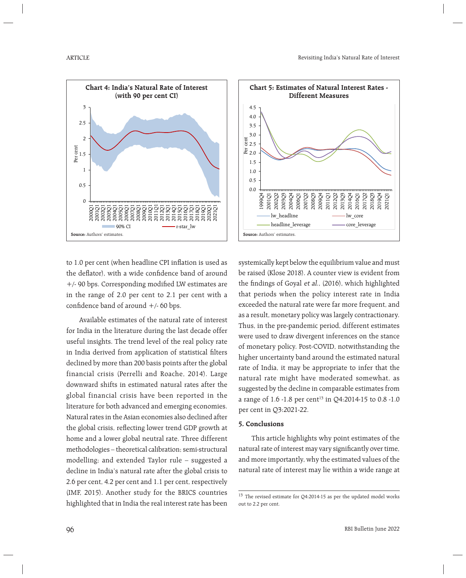



to 1.0 per cent (when headline CPI inflation is used as the deflator), with a wide confidence band of around  $+$ /- 90 bps. Corresponding modified LW estimates are in the range of 2.0 per cent to 2.1 per cent with a confidence band of around  $+/$ -60 bps.

 Available estimates of the natural rate of interest for India in the literature during the last decade offer useful insights. The trend level of the real policy rate in India derived from application of statistical filters declined by more than 200 basis points after the global financial crisis (Perrelli and Roache, 2014). Large downward shifts in estimated natural rates after the global financial crisis have been reported in the literature for both advanced and emerging economies. Natural rates in the Asian economies also declined after the global crisis, reflecting lower trend GDP growth at home and a lower global neutral rate. Three different methodologies – theoretical calibration; semi-structural modelling; and extended Taylor rule – suggested a decline in India's natural rate after the global crisis to 2.6 per cent, 4.2 per cent and 1.1 per cent, respectively (IMF, 2015). Another study for the BRICS countries highlighted that in India the real interest rate has been systemically kept below the equilibrium value and must be raised (Klose 2018). A counter view is evident from the findings of Goyal et al., (2016), which highlighted that periods when the policy interest rate in India exceeded the natural rate were far more frequent, and as a result, monetary policy was largely contractionary. Thus, in the pre-pandemic period, different estimates were used to draw divergent inferences on the stance of monetary policy. Post-COVID, notwithstanding the higher uncertainty band around the estimated natural rate of India, it may be appropriate to infer that the natural rate might have moderated somewhat, as suggested by the decline in comparable estimates from a range of 1.6 -1.8 per cent<sup>13</sup> in Q4:2014-15 to 0.8 -1.0 per cent in Q3:2021-22.

## **5. Conclusions**

 This article highlights why point estimates of the natural rate of interest may vary significantly over time, and more importantly, why the estimated values of the natural rate of interest may lie within a wide range at

<sup>&</sup>lt;sup>13</sup> The revised estimate for Q4:2014-15 as per the updated model works out to 2.2 per cent.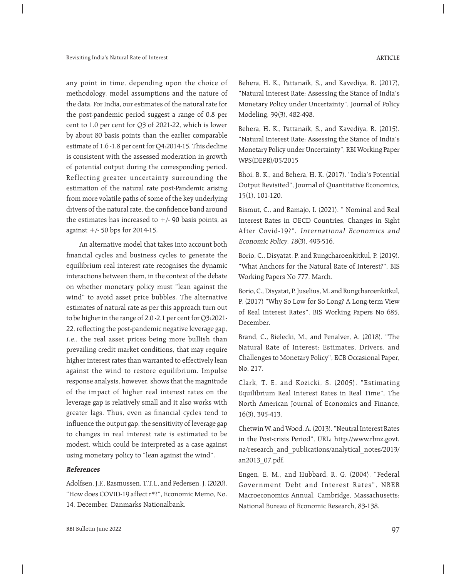any point in time, depending upon the choice of methodology, model assumptions and the nature of the data. For India, our estimates of the natural rate for the post-pandemic period suggest a range of 0.8 per cent to 1.0 per cent for Q3 of 2021-22, which is lower by about 80 basis points than the earlier comparable estimate of 1.6 -1.8 per cent for Q4:2014-15. This decline is consistent with the assessed moderation in growth of potential output during the corresponding period. Reflecting greater uncertainty surrounding the estimation of the natural rate post-Pandemic arising from more volatile paths of some of the key underlying drivers of the natural rate, the confidence band around the estimates has increased to  $+/$ - 90 basis points, as against +/- 50 bps for 2014-15.

 An alternative model that takes into account both financial cycles and business cycles to generate the equilibrium real interest rate recognises the dynamic interactions between them, in the context of the debate on whether monetary policy must "lean against the wind" to avoid asset price bubbles. The alternative estimates of natural rate as per this approach turn out to be higher in the range of 2.0 -2.1 per cent for Q3:2021- 22, reflecting the post-pandemic negative leverage gap, i.e., the real asset prices being more bullish than prevailing credit market conditions, that may require higher interest rates than warranted to effectively lean against the wind to restore equilibrium. Impulse response analysis, however, shows that the magnitude of the impact of higher real interest rates on the leverage gap is relatively small and it also works with greater lags. Thus, even as financial cycles tend to influence the output gap, the sensitivity of leverage gap to changes in real interest rate is estimated to be modest, which could be interpreted as a case against using monetary policy to "lean against the wind".

## **References**

Adolfsen, J.F., Rasmussen, T.T.I., and Pedersen, J. (2020). "How does COVID-19 affect r\*?", Economic Memo, No. 14, December, Danmarks Nationalbank.

Behera, H. K., Pattanaik, S., and Kavediya, R. (2017), "Natural Interest Rate: Assessing the Stance of India's Monetary Policy under Uncertainty", Journal of Policy Modeling, 39(3), 482-498.

Behera, H. K., Pattanaik, S., and Kavediya, R. (2015). "Natural Interest Rate: Assessing the Stance of India's Monetary Policy under Uncertainty", RBI Working Paper WPS(DEPR)/05/2015

Bhoi, B. K., and Behera, H. K. (2017). "India's Potential Output Revisited", Journal of Quantitative Economics, 15(1), 101-120.

Bismut, C., and Ramajo, I. (2021). " Nominal and Real Interest Rates in OECD Countries, Changes in Sight After Covid-19?". International Economics and Economic Policy, 18(3), 493-516.

Borio, C., Disyatat, P. and Rungcharoenkitkul, P. (2019). "What Anchors for the Natural Rate of Interest?", BIS Working Papers No 777, March.

Borio, C., Disyatat, P. Juselius, M. and Rungcharoenkitkul, P. (2017) "Why So Low for So Long? A Long-term View of Real Interest Rates", BIS Working Papers No 685, December.

Brand, C., Bielecki, M., and Penalver, A. (2018). "The Natural Rate of Interest: Estimates, Drivers, and Challenges to Monetary Policy", ECB Occasional Paper, No. 217.

Clark, T. E. and Kozicki, S. (2005), "Estimating Equilibrium Real Interest Rates in Real Time", The North American Journal of Economics and Finance, 16(3), 395-413.

Chetwin W. and Wood, A. (2013). "Neutral Interest Rates in the Post-crisis Period", URL: http://www.rbnz.govt. nz/research\_and\_publications/analytical\_notes/2013/ an2013\_07.pdf.

Engen, E. M., and Hubbard, R. G. (2004). "Federal Government Debt and Interest Rates", NBER Macroeconomics Annual, Cambridge, Massachusetts: National Bureau of Economic Research, 83-138.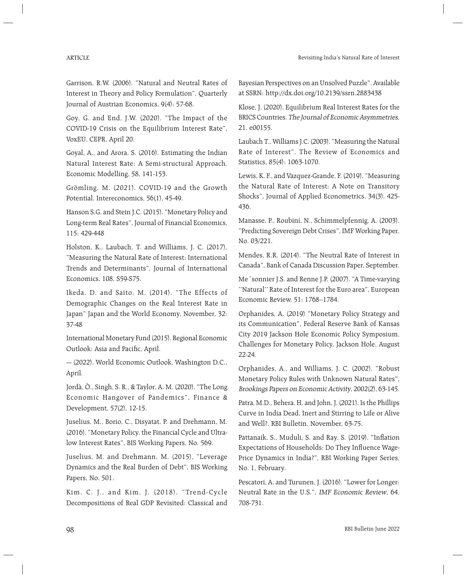Garrison, R.W. (2006). "Natural and Neutral Rates of Interest in Theory and Policy Formulation", Quarterly Journal of Austrian Economics, 9(4): 57-68.

Goy, G. and End, J.W. (2020). "The Impact of the COVID-19 Crisis on the Equilibrium Interest Rate", VoxEU, CEPR, April 20.

Goyal, A., and Arora, S. (2016). Estimating the Indian Natural Interest Rate: A Semi-structural Approach. Economic Modelling, 58, 141-153.

Grömling, M. (2021). COVID-19 and the Growth Potential. Intereconomics, 56(1), 45-49.

Hanson S.G. and Stein J.C. (2015). "Monetary Policy and Long-term Real Rates", Journal of Financial Economics, 115: 429-448

Holston, K., Laubach, T. and Williams, J. C. (2017), "Measuring the Natural Rate of Interest: International Trends and Determinants", Journal of International Economics, 108, S59-S75.

Ikeda, D. and Saito, M. (2014). "The Effects of Demographic Changes on the Real Interest Rate in Japan" Japan and the World Economy, November, 32: 37-48

International Monetary Fund (2015). Regional Economic Outlook: Asia and Pacific, April.

--- (2022). World Economic Outlook, Washington D.C., April.

Jordà, Ò., Singh, S. R., & Taylor, A. M. (2020). "The Long Economic Hangover of Pandemics", Finance & Development, 57(2), 12-15.

Juselius, M., Borio, C., Disyatat, P. and Drehmann, M. (2016). "Monetary Policy, the Financial Cycle and Ultralow Interest Rates", BIS Working Papers, No. 569.

Juselius, M. and Drehmann, M. (2015), "Leverage Dynamics and the Real Burden of Debt", BIS Working Papers, No. 501.

Kim, C. J., and Kim, J. (2018), "Trend- Cycle Decompositions of Real GDP Revisited: Classical and Bayesian Perspectives on an Unsolved Puzzle". Available at SSRN: http://dx.doi.org/10.2139/ssrn.2883438

Klose, J. (2020). Equilibrium Real Interest Rates for the BRICS Countries. The Journal of Economic Asymmetries, 21, e00155.

Laubach T., Williams J.C. (2003). "Measuring the Natural Rate of Interest", The Review of Economics and Statistics, 85(4): 1063-1070.

Lewis, K. F., and Vazquez-Grande, F. (2019). "Measuring the Natural Rate of Interest: A Note on Transitory Shocks", Journal of Applied Econometrics, 34(3), 425- 436.

Manasse, P., Roubini, N., Schimmelpfennig, A. (2003). "Predicting Sovereign Debt Crises", IMF Working Paper, No. 03/221.

Mendes, R.R. (2014). "The Neutral Rate of Interest in Canada", Bank of Canada Discussion Paper, September.

Me´sonnier J.S. and Renne J.P. (2007). "A Time-varying ''Natural'' Rate of Interest for the Euro area", European Economic Review, 51: 1768–1784.

Orphanides, A. (2019) "Monetary Policy Strategy and its Communication", Federal Reserve Bank of Kansas City 2019 Jackson Hole Economic Policy Symposium, Challenges for Monetary Policy, Jackson Hole, August 22-24.

Orphanides, A., and Williams, J. C. (2002). "Robust Monetary Policy Rules with Unknown Natural Rates", Brookings Papers on Economic Activity, 2002(2), 63-145.

Patra, M.D., Behera, H. and John, J. (2021). Is the Phillips Curve in India Dead, Inert and Stirring to Life or Alive and Well?. RBI Bulletin, November, 63-75.

Pattanaik, S., Muduli, S. and Ray, S. (2019). "Inflation Expectations of Households: Do They Influence Wage-Price Dynamics in India?", RBI Working Paper Series, No. 1, February.

Pescatori, A. and Turunen, J. (2016). "Lower for Longer: Neutral Rate in the U.S.", IMF Economic Review, 64, 708-731.